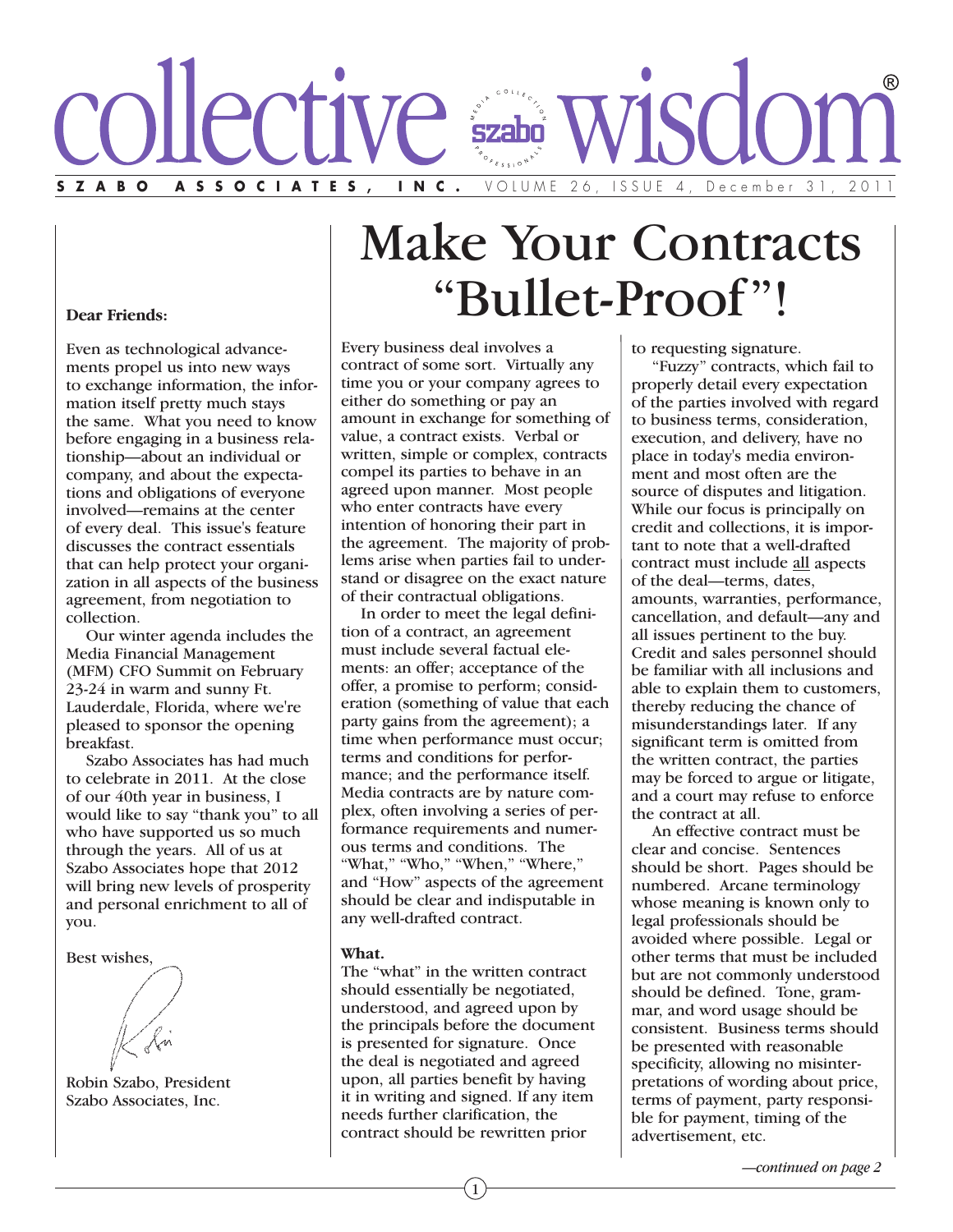

# Make Your Contracts "Bullet-Proof"!

#### **Dear Friends:**

Even as technological advancements propel us into new ways to exchange information, the information itself pretty much stays the same. What you need to know before engaging in a business relationship—about an individual or company, and about the expectations and obligations of everyone involved—remains at the center of every deal. This issue's feature discusses the contract essentials that can help protect your organization in all aspects of the business agreement, from negotiation to collection.

Our winter agenda includes the Media Financial Management (MFM) CFO Summit on February 23-24 in warm and sunny Ft. Lauderdale, Florida, where we're pleased to sponsor the opening breakfast.

Szabo Associates has had much to celebrate in 2011. At the close of our 40th year in business, I would like to say "thank you" to all who have supported us so much through the years. All of us at Szabo Associates hope that 2012 will bring new levels of prosperity and personal enrichment to all of you.

Best wishes,

Robin Szabo, President Szabo Associates, Inc.

Every business deal involves a contract of some sort. Virtually any time you or your company agrees to either do something or pay an amount in exchange for something of value, a contract exists. Verbal or written, simple or complex, contracts compel its parties to behave in an agreed upon manner. Most people who enter contracts have every intention of honoring their part in the agreement. The majority of problems arise when parties fail to understand or disagree on the exact nature of their contractual obligations.

In order to meet the legal definition of a contract, an agreement must include several factual elements: an offer; acceptance of the offer, a promise to perform; consideration (something of value that each party gains from the agreement); a time when performance must occur; terms and conditions for performance; and the performance itself. Media contracts are by nature complex, often involving a series of performance requirements and numerous terms and conditions. The "What," "Who," "When," "Where," and "How" aspects of the agreement should be clear and indisputable in any well-drafted contract.

#### **What.**

The "what" in the written contract should essentially be negotiated, understood, and agreed upon by the principals before the document is presented for signature. Once the deal is negotiated and agreed upon, all parties benefit by having it in writing and signed. If any item needs further clarification, the contract should be rewritten prior

1

to requesting signature.

"Fuzzy" contracts, which fail to properly detail every expectation of the parties involved with regard to business terms, consideration, execution, and delivery, have no place in today's media environment and most often are the source of disputes and litigation. While our focus is principally on credit and collections, it is important to note that a well-drafted contract must include all aspects of the deal—terms, dates, amounts, warranties, performance, cancellation, and default—any and all issues pertinent to the buy. Credit and sales personnel should be familiar with all inclusions and able to explain them to customers, thereby reducing the chance of misunderstandings later. If any significant term is omitted from the written contract, the parties may be forced to argue or litigate, and a court may refuse to enforce the contract at all.

An effective contract must be clear and concise. Sentences should be short. Pages should be numbered. Arcane terminology whose meaning is known only to legal professionals should be avoided where possible. Legal or other terms that must be included but are not commonly understood should be defined. Tone, grammar, and word usage should be consistent. Business terms should be presented with reasonable specificity, allowing no misinterpretations of wording about price, terms of payment, party responsible for payment, timing of the advertisement, etc.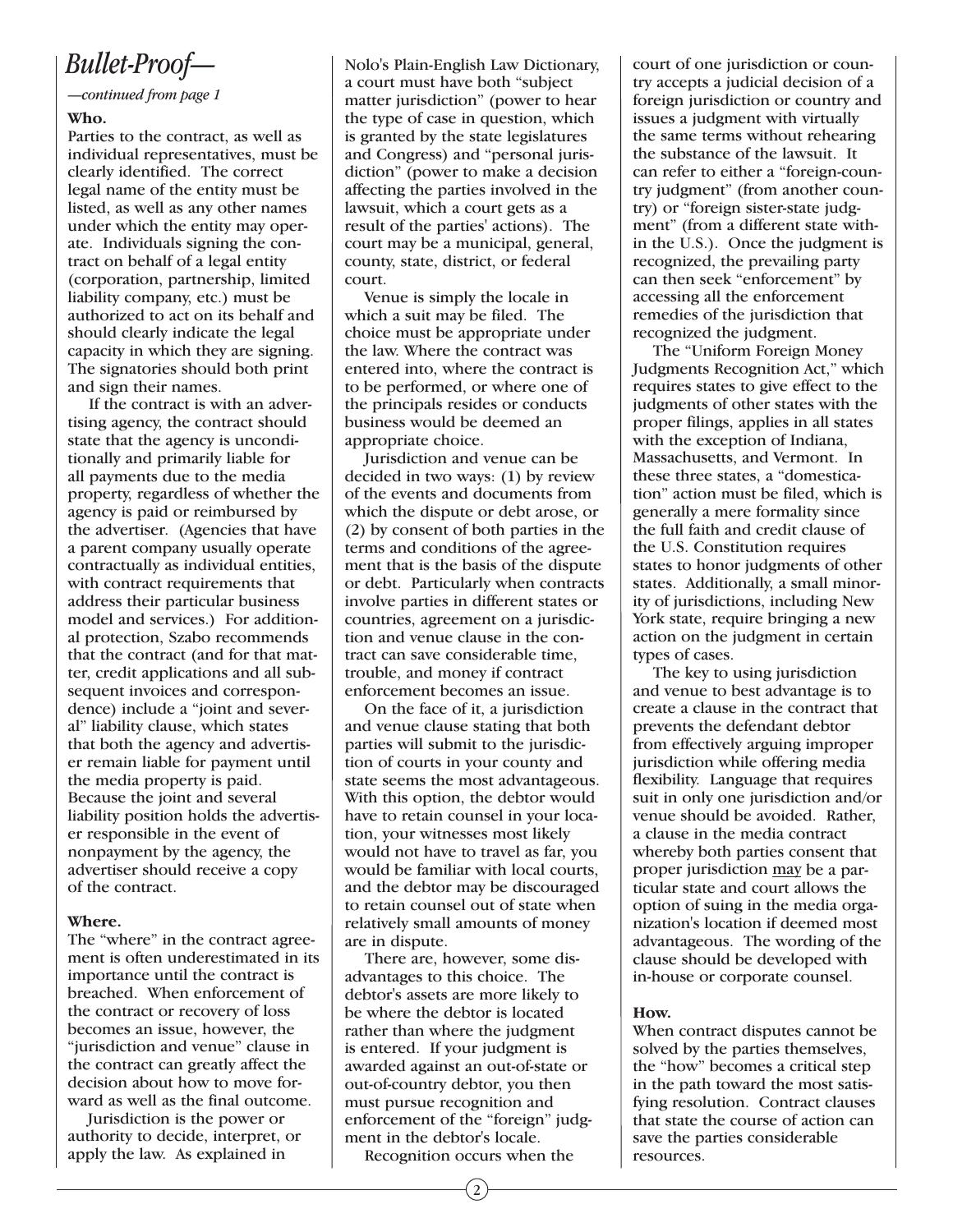# *Bullet-Proof—*

#### *—continued from page 1*

#### **Who.**

Parties to the contract, as well as individual representatives, must be clearly identified. The correct legal name of the entity must be listed, as well as any other names under which the entity may operate. Individuals signing the contract on behalf of a legal entity (corporation, partnership, limited liability company, etc.) must be authorized to act on its behalf and should clearly indicate the legal capacity in which they are signing. The signatories should both print and sign their names.

If the contract is with an advertising agency, the contract should state that the agency is unconditionally and primarily liable for all payments due to the media property, regardless of whether the agency is paid or reimbursed by the advertiser. (Agencies that have a parent company usually operate contractually as individual entities, with contract requirements that address their particular business model and services.) For additional protection, Szabo recommends that the contract (and for that matter, credit applications and all subsequent invoices and correspondence) include a "joint and several" liability clause, which states that both the agency and advertiser remain liable for payment until the media property is paid. Because the joint and several liability position holds the advertiser responsible in the event of nonpayment by the agency, the advertiser should receive a copy of the contract.

## **Where.**

The "where" in the contract agreement is often underestimated in its importance until the contract is breached. When enforcement of the contract or recovery of loss becomes an issue, however, the "jurisdiction and venue" clause in the contract can greatly affect the decision about how to move forward as well as the final outcome.

Jurisdiction is the power or authority to decide, interpret, or apply the law. As explained in

Nolo's Plain-English Law Dictionary, a court must have both "subject matter jurisdiction" (power to hear the type of case in question, which is granted by the state legislatures and Congress) and "personal jurisdiction" (power to make a decision affecting the parties involved in the lawsuit, which a court gets as a result of the parties' actions). The court may be a municipal, general, county, state, district, or federal court.

Venue is simply the locale in which a suit may be filed. The choice must be appropriate under the law. Where the contract was entered into, where the contract is to be performed, or where one of the principals resides or conducts business would be deemed an appropriate choice.

Jurisdiction and venue can be decided in two ways: (1) by review of the events and documents from which the dispute or debt arose, or (2) by consent of both parties in the terms and conditions of the agreement that is the basis of the dispute or debt. Particularly when contracts involve parties in different states or countries, agreement on a jurisdiction and venue clause in the contract can save considerable time, trouble, and money if contract enforcement becomes an issue.

On the face of it, a jurisdiction and venue clause stating that both parties will submit to the jurisdiction of courts in your county and state seems the most advantageous. With this option, the debtor would have to retain counsel in your location, your witnesses most likely would not have to travel as far, you would be familiar with local courts, and the debtor may be discouraged to retain counsel out of state when relatively small amounts of money are in dispute.

There are, however, some disadvantages to this choice. The debtor's assets are more likely to be where the debtor is located rather than where the judgment is entered. If your judgment is awarded against an out-of-state or out-of-country debtor, you then must pursue recognition and enforcement of the "foreign" judgment in the debtor's locale.

Recognition occurs when the

court of one jurisdiction or country accepts a judicial decision of a foreign jurisdiction or country and issues a judgment with virtually the same terms without rehearing the substance of the lawsuit. It can refer to either a "foreign-country judgment" (from another country) or "foreign sister-state judgment" (from a different state within the U.S.). Once the judgment is recognized, the prevailing party can then seek "enforcement" by accessing all the enforcement remedies of the jurisdiction that recognized the judgment.

The "Uniform Foreign Money Judgments Recognition Act," which requires states to give effect to the judgments of other states with the proper filings, applies in all states with the exception of Indiana, Massachusetts, and Vermont. In these three states, a "domestication" action must be filed, which is generally a mere formality since the full faith and credit clause of the U.S. Constitution requires states to honor judgments of other states. Additionally, a small minority of jurisdictions, including New York state, require bringing a new action on the judgment in certain types of cases.

The key to using jurisdiction and venue to best advantage is to create a clause in the contract that prevents the defendant debtor from effectively arguing improper jurisdiction while offering media flexibility. Language that requires suit in only one jurisdiction and/or venue should be avoided. Rather, a clause in the media contract whereby both parties consent that proper jurisdiction may be a particular state and court allows the option of suing in the media organization's location if deemed most advantageous. The wording of the clause should be developed with in-house or corporate counsel.

## **How.**

When contract disputes cannot be solved by the parties themselves, the "how" becomes a critical step in the path toward the most satisfying resolution. Contract clauses that state the course of action can save the parties considerable resources.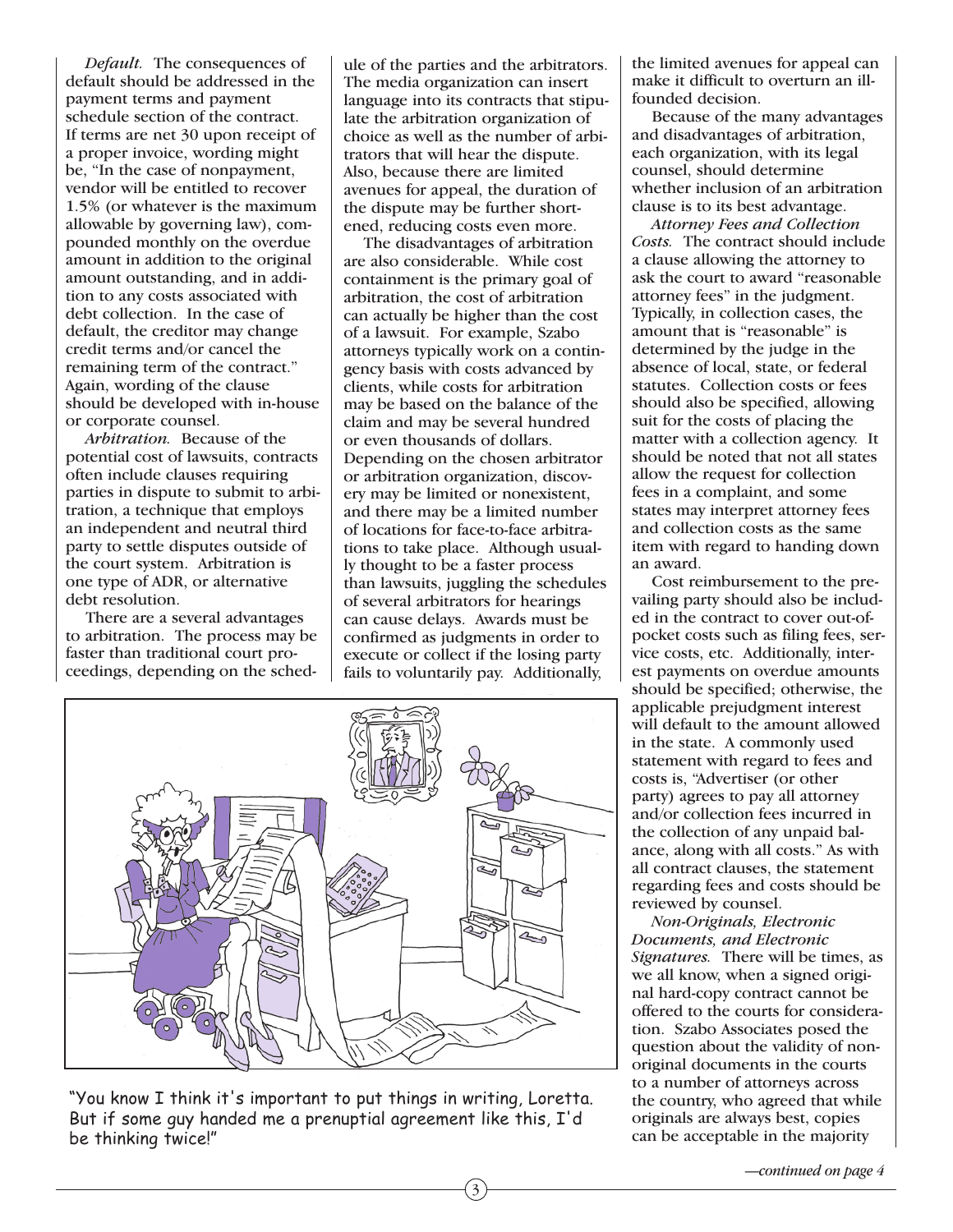*Default.* The consequences of default should be addressed in the payment terms and payment schedule section of the contract. If terms are net 30 upon receipt of a proper invoice, wording might be, "In the case of nonpayment, vendor will be entitled to recover 1.5% (or whatever is the maximum allowable by governing law), compounded monthly on the overdue amount in addition to the original amount outstanding, and in addition to any costs associated with debt collection. In the case of default, the creditor may change credit terms and/or cancel the remaining term of the contract." Again, wording of the clause should be developed with in-house or corporate counsel.

*Arbitration.* Because of the potential cost of lawsuits, contracts often include clauses requiring parties in dispute to submit to arbitration, a technique that employs an independent and neutral third party to settle disputes outside of the court system. Arbitration is one type of ADR, or alternative debt resolution.

There are a several advantages to arbitration. The process may be faster than traditional court proceedings, depending on the schedule of the parties and the arbitrators. The media organization can insert language into its contracts that stipulate the arbitration organization of choice as well as the number of arbitrators that will hear the dispute. Also, because there are limited avenues for appeal, the duration of the dispute may be further shortened, reducing costs even more.

The disadvantages of arbitration are also considerable. While cost containment is the primary goal of arbitration, the cost of arbitration can actually be higher than the cost of a lawsuit. For example, Szabo attorneys typically work on a contingency basis with costs advanced by clients, while costs for arbitration may be based on the balance of the claim and may be several hundred or even thousands of dollars. Depending on the chosen arbitrator or arbitration organization, discovery may be limited or nonexistent, and there may be a limited number of locations for face-to-face arbitrations to take place. Although usually thought to be a faster process than lawsuits, juggling the schedules of several arbitrators for hearings can cause delays. Awards must be confirmed as judgments in order to execute or collect if the losing party fails to voluntarily pay. Additionally,

3



"You know I think it's important to put things in writing, Loretta. But if some guy handed me a prenuptial agreement like this, I'd be thinking twice!"

the limited avenues for appeal can make it difficult to overturn an illfounded decision.

Because of the many advantages and disadvantages of arbitration, each organization, with its legal counsel, should determine whether inclusion of an arbitration clause is to its best advantage.

*Attorney Fees and Collection Costs.* The contract should include a clause allowing the attorney to ask the court to award "reasonable attorney fees" in the judgment. Typically, in collection cases, the amount that is "reasonable" is determined by the judge in the absence of local, state, or federal statutes. Collection costs or fees should also be specified, allowing suit for the costs of placing the matter with a collection agency. It should be noted that not all states allow the request for collection fees in a complaint, and some states may interpret attorney fees and collection costs as the same item with regard to handing down an award.

Cost reimbursement to the prevailing party should also be included in the contract to cover out-ofpocket costs such as filing fees, service costs, etc. Additionally, interest payments on overdue amounts should be specified; otherwise, the applicable prejudgment interest will default to the amount allowed in the state. A commonly used statement with regard to fees and costs is, "Advertiser (or other party) agrees to pay all attorney and/or collection fees incurred in the collection of any unpaid balance, along with all costs." As with all contract clauses, the statement regarding fees and costs should be reviewed by counsel.

*Non-Originals, Electronic Documents, and Electronic Signatures.* There will be times, as we all know, when a signed original hard-copy contract cannot be offered to the courts for consideration. Szabo Associates posed the question about the validity of nonoriginal documents in the courts to a number of attorneys across the country, who agreed that while originals are always best, copies can be acceptable in the majority